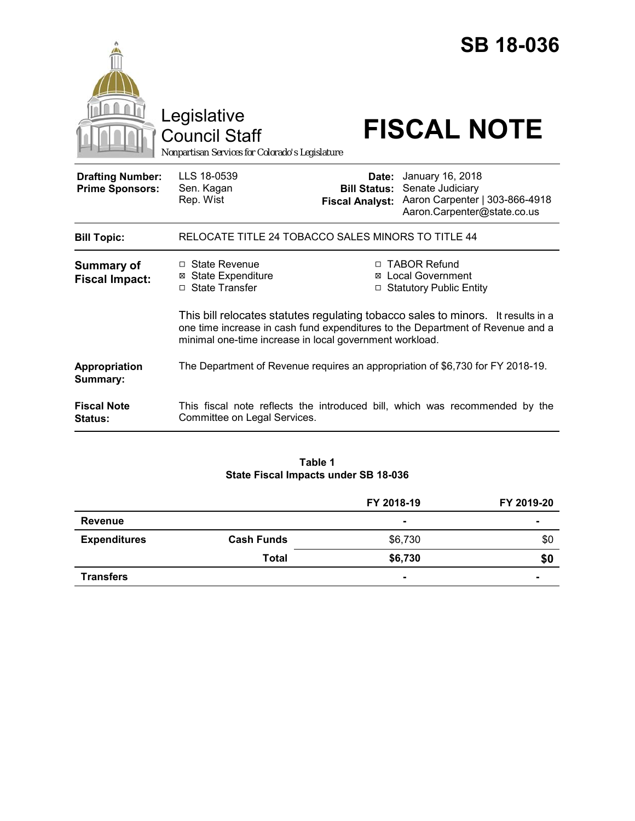|                                                   |                                                                                                                                                                                                                               |                              | <b>SB 18-036</b>                                                                                                      |  |
|---------------------------------------------------|-------------------------------------------------------------------------------------------------------------------------------------------------------------------------------------------------------------------------------|------------------------------|-----------------------------------------------------------------------------------------------------------------------|--|
|                                                   | Legislative<br>Council Staff<br>Nonpartisan Services for Colorado's Legislature                                                                                                                                               |                              | <b>FISCAL NOTE</b>                                                                                                    |  |
| <b>Drafting Number:</b><br><b>Prime Sponsors:</b> | LLS 18-0539<br>Sen. Kagan<br>Rep. Wist                                                                                                                                                                                        | Date:<br><b>Bill Status:</b> | January 16, 2018<br>Senate Judiciary<br>Fiscal Analyst: Aaron Carpenter   303-866-4918<br>Aaron.Carpenter@state.co.us |  |
| <b>Bill Topic:</b>                                | RELOCATE TITLE 24 TOBACCO SALES MINORS TO TITLE 44                                                                                                                                                                            |                              |                                                                                                                       |  |
| <b>Summary of</b><br><b>Fiscal Impact:</b>        | $\Box$ State Revenue<br><b>⊠</b> State Expenditure<br>□ State Transfer                                                                                                                                                        |                              | □ TABOR Refund<br>⊠ Local Government<br>□ Statutory Public Entity                                                     |  |
|                                                   | This bill relocates statutes regulating tobacco sales to minors. It results in a<br>one time increase in cash fund expenditures to the Department of Revenue and a<br>minimal one-time increase in local government workload. |                              |                                                                                                                       |  |
| <b>Appropriation</b><br>Summary:                  |                                                                                                                                                                                                                               |                              | The Department of Revenue requires an appropriation of \$6,730 for FY 2018-19.                                        |  |
| <b>Fiscal Note</b><br><b>Status:</b>              | Committee on Legal Services.                                                                                                                                                                                                  |                              | This fiscal note reflects the introduced bill, which was recommended by the                                           |  |

# **Table 1 State Fiscal Impacts under SB 18-036**

|                     |                   | FY 2018-19     | FY 2019-20               |
|---------------------|-------------------|----------------|--------------------------|
| <b>Revenue</b>      |                   | $\blacksquare$ | $\blacksquare$           |
| <b>Expenditures</b> | <b>Cash Funds</b> | \$6,730        | \$0                      |
|                     | <b>Total</b>      | \$6,730        | \$0                      |
| <b>Transfers</b>    |                   | $\blacksquare$ | $\overline{\phantom{0}}$ |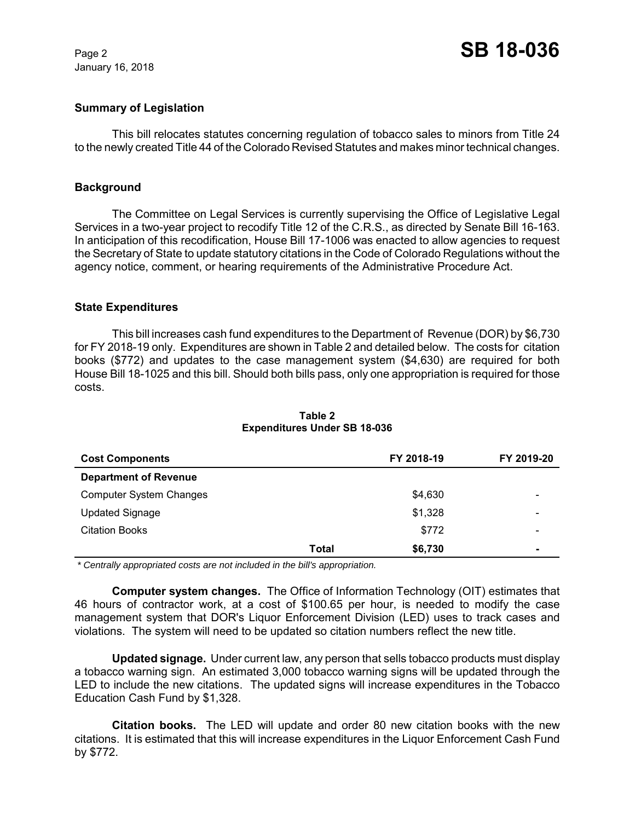January 16, 2018

# **Summary of Legislation**

This bill relocates statutes concerning regulation of tobacco sales to minors from Title 24 to the newly created Title 44 of the Colorado Revised Statutes and makes minor technical changes.

### **Background**

The Committee on Legal Services is currently supervising the Office of Legislative Legal Services in a two-year project to recodify Title 12 of the C.R.S., as directed by Senate Bill 16-163. In anticipation of this recodification, House Bill 17-1006 was enacted to allow agencies to request the Secretary of State to update statutory citations in the Code of Colorado Regulations without the agency notice, comment, or hearing requirements of the Administrative Procedure Act.

#### **State Expenditures**

This bill increases cash fund expenditures to the Department of Revenue (DOR) by \$6,730 for FY 2018-19 only. Expenditures are shown in Table 2 and detailed below. The costs for citation books (\$772) and updates to the case management system (\$4,630) are required for both House Bill 18-1025 and this bill. Should both bills pass, only one appropriation is required for those costs.

| <b>Cost Components</b>         |       | FY 2018-19 | FY 2019-20               |
|--------------------------------|-------|------------|--------------------------|
| <b>Department of Revenue</b>   |       |            |                          |
| <b>Computer System Changes</b> |       | \$4,630    | $\overline{\phantom{0}}$ |
| <b>Updated Signage</b>         |       | \$1,328    | $\overline{\phantom{0}}$ |
| <b>Citation Books</b>          |       | \$772      | $\overline{\phantom{0}}$ |
|                                | Total | \$6,730    | $\blacksquare$           |

# **Table 2 Expenditures Under SB 18-036**

 *\* Centrally appropriated costs are not included in the bill's appropriation.*

**Computer system changes.** The Office of Information Technology (OIT) estimates that 46 hours of contractor work, at a cost of \$100.65 per hour, is needed to modify the case management system that DOR's Liquor Enforcement Division (LED) uses to track cases and violations. The system will need to be updated so citation numbers reflect the new title.

**Updated signage.** Under current law, any person that sells tobacco products must display a tobacco warning sign. An estimated 3,000 tobacco warning signs will be updated through the LED to include the new citations. The updated signs will increase expenditures in the Tobacco Education Cash Fund by \$1,328.

**Citation books.** The LED will update and order 80 new citation books with the new citations. It is estimated that this will increase expenditures in the Liquor Enforcement Cash Fund by \$772.